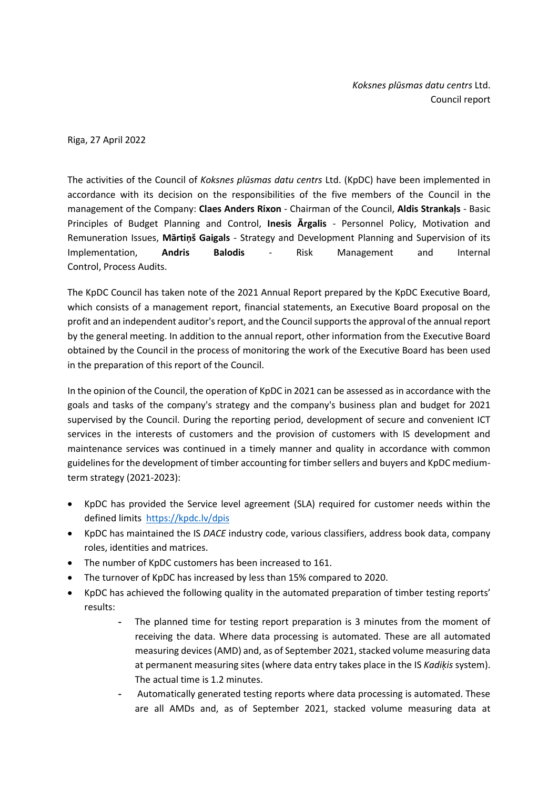*Koksnes plūsmas datu centrs* Ltd. Council report

Riga, 27 April 2022

The activities of the Council of *Koksnes plūsmas datu centrs* Ltd. (KpDC) have been implemented in accordance with its decision on the responsibilities of the five members of the Council in the management of the Company: **Claes Anders Rixon** - Chairman of the Council, **Aldis Strankaļs** - Basic Principles of Budget Planning and Control, **Inesis Ārgalis** - Personnel Policy, Motivation and Remuneration Issues, **Mārtiņš Gaigals** - Strategy and Development Planning and Supervision of its Implementation, **Andris Balodis** - Risk Management and Internal Control, Process Audits.

The KpDC Council has taken note of the 2021 Annual Report prepared by the KpDC Executive Board, which consists of a management report, financial statements, an Executive Board proposal on the profit and an independent auditor's report, and the Councilsupports the approval of the annual report by the general meeting. In addition to the annual report, other information from the Executive Board obtained by the Council in the process of monitoring the work of the Executive Board has been used in the preparation of this report of the Council.

In the opinion of the Council, the operation of KpDC in 2021 can be assessed as in accordance with the goals and tasks of the company's strategy and the company's business plan and budget for 2021 supervised by the Council. During the reporting period, development of secure and convenient ICT services in the interests of customers and the provision of customers with IS development and maintenance services was continued in a timely manner and quality in accordance with common guidelines for the development of timber accounting for timber sellers and buyers and KpDC mediumterm strategy (2021-2023):

- KpDC has provided the Service level agreement (SLA) required for customer needs within the defined limits <https://kpdc.lv/dpis>
- KpDC has maintained the IS *DACE* industry code, various classifiers, address book data, company roles, identities and matrices.
- The number of KpDC customers has been increased to 161.
- The turnover of KpDC has increased by less than 15% compared to 2020.
- KpDC has achieved the following quality in the automated preparation of timber testing reports' results:
	- The planned time for testing report preparation is 3 minutes from the moment of receiving the data. Where data processing is automated. These are all automated measuring devices (AMD) and, as of September 2021, stacked volume measuring data at permanent measuring sites (where data entry takes place in the IS *Kadiķis* system). The actual time is 1.2 minutes.
	- Automatically generated testing reports where data processing is automated. These are all AMDs and, as of September 2021, stacked volume measuring data at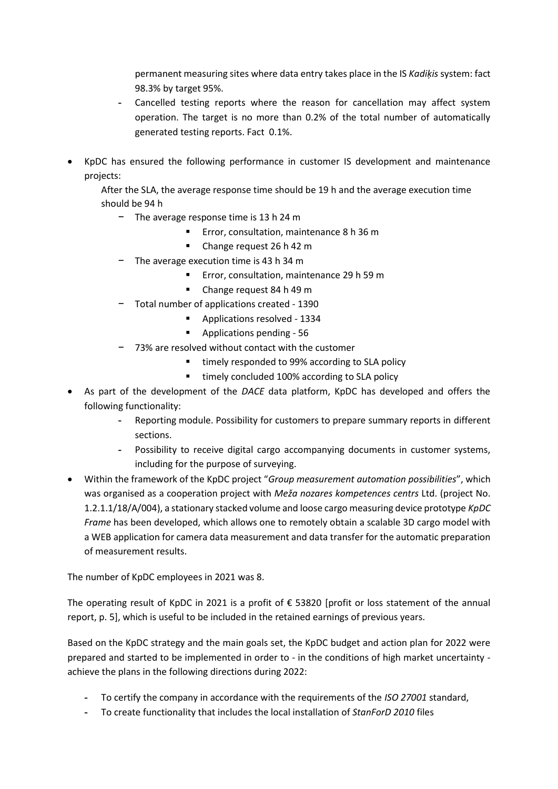permanent measuring sites where data entry takes place in the IS *Kadiķis* system: fact 98.3% by target 95%.

- Cancelled testing reports where the reason for cancellation may affect system operation. The target is no more than 0.2% of the total number of automatically generated testing reports. Fact 0.1%.
- KpDC has ensured the following performance in customer IS development and maintenance projects:

After the SLA, the average response time should be 19 h and the average execution time should be 94 h

- − The average response time is 13 h 24 m
	- Error, consultation, maintenance 8 h 36 m
	- Change request 26 h 42 m
- − The average execution time is 43 h 34 m
	- Error, consultation, maintenance 29 h 59 m
	- Change request 84 h 49 m
- − Total number of applications created 1390
	- Applications resolved 1334
	- Applications pending 56
- − 73% are resolved without contact with the customer
	- timely responded to 99% according to SLA policy
	- timely concluded 100% according to SLA policy
- As part of the development of the *DACE* data platform, KpDC has developed and offers the following functionality:
	- Reporting module. Possibility for customers to prepare summary reports in different sections.
	- Possibility to receive digital cargo accompanying documents in customer systems, including for the purpose of surveying.
- Within the framework of the KpDC project "*Group measurement automation possibilities*", which was organised as a cooperation project with *Meža nozares kompetences centrs* Ltd. (project No. 1.2.1.1/18/A/004), a stationary stacked volume and loose cargo measuring device prototype *KpDC Frame* has been developed, which allows one to remotely obtain a scalable 3D cargo model with a WEB application for camera data measurement and data transfer for the automatic preparation of measurement results.

The number of KpDC employees in 2021 was 8.

The operating result of KpDC in 2021 is a profit of  $\epsilon$  53820 [profit or loss statement of the annual report, p. 5], which is useful to be included in the retained earnings of previous years.

Based on the KpDC strategy and the main goals set, the KpDC budget and action plan for 2022 were prepared and started to be implemented in order to - in the conditions of high market uncertainty achieve the plans in the following directions during 2022:

- To certify the company in accordance with the requirements of the *ISO 27001* standard,
- To create functionality that includes the local installation of *StanForD 2010* files